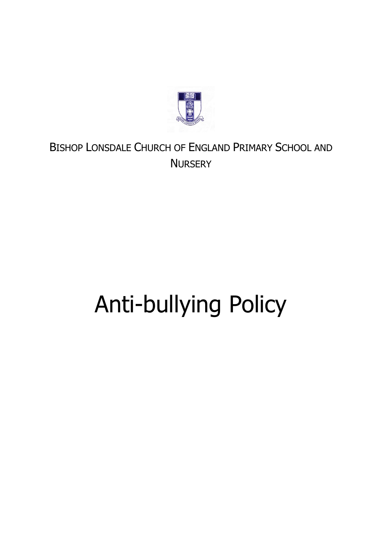

# BISHOP LONSDALE CHURCH OF ENGLAND PRIMARY SCHOOL AND **NURSERY**

# Anti-bullying Policy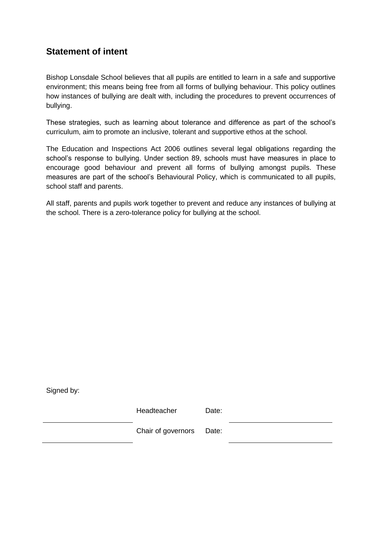# **Statement of intent**

Bishop Lonsdale School believes that all pupils are entitled to learn in a safe and supportive environment; this means being free from all forms of bullying behaviour. This policy outlines how instances of bullying are dealt with, including the procedures to prevent occurrences of bullying.

These strategies, such as learning about tolerance and difference as part of the school's curriculum, aim to promote an inclusive, tolerant and supportive ethos at the school.

The Education and Inspections Act 2006 outlines several legal obligations regarding the school's response to bullying. Under section 89, schools must have measures in place to encourage good behaviour and prevent all forms of bullying amongst pupils. These measures are part of the school's Behavioural Policy, which is communicated to all pupils, school staff and parents.

All staff, parents and pupils work together to prevent and reduce any instances of bullying at the school. There is a zero-tolerance policy for bullying at the school.

Signed by:

Headteacher Date:

Chair of governors Date: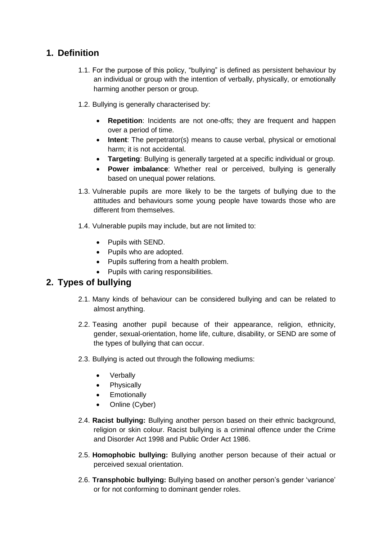# **1. Definition**

- 1.1. For the purpose of this policy, "bullying" is defined as persistent behaviour by an individual or group with the intention of verbally, physically, or emotionally harming another person or group.
- 1.2. Bullying is generally characterised by:
	- **Repetition**: Incidents are not one-offs; they are frequent and happen over a period of time.
	- **Intent**: The perpetrator(s) means to cause verbal, physical or emotional harm; it is not accidental.
	- **Targeting**: Bullying is generally targeted at a specific individual or group.
	- **Power imbalance**: Whether real or perceived, bullying is generally based on unequal power relations.
- 1.3. Vulnerable pupils are more likely to be the targets of bullying due to the attitudes and behaviours some young people have towards those who are different from themselves.
- 1.4. Vulnerable pupils may include, but are not limited to:
	- Pupils with SEND.
	- Pupils who are adopted.
	- Pupils suffering from a health problem.
	- Pupils with caring responsibilities.

# **2. Types of bullying**

- 2.1. Many kinds of behaviour can be considered bullying and can be related to almost anything.
- 2.2. Teasing another pupil because of their appearance, religion, ethnicity, gender, sexual-orientation, home life, culture, disability, or SEND are some of the types of bullying that can occur.
- 2.3. Bullying is acted out through the following mediums:
	- Verbally
	- Physically
	- Emotionally
	- Online (Cyber)
- 2.4. **Racist bullying:** Bullying another person based on their ethnic background, religion or skin colour. Racist bullying is a criminal offence under the Crime and Disorder Act 1998 and Public Order Act 1986.
- 2.5. **Homophobic bullying:** Bullying another person because of their actual or perceived sexual orientation.
- 2.6. **Transphobic bullying:** Bullying based on another person's gender 'variance' or for not conforming to dominant gender roles.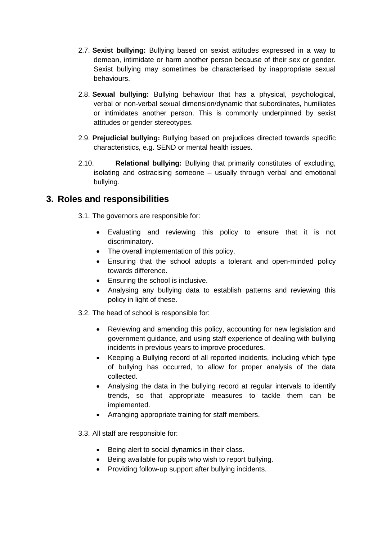- 2.7. **Sexist bullying:** Bullying based on sexist attitudes expressed in a way to demean, intimidate or harm another person because of their sex or gender. Sexist bullying may sometimes be characterised by inappropriate sexual behaviours.
- 2.8. **Sexual bullying:** Bullying behaviour that has a physical, psychological, verbal or non-verbal sexual dimension/dynamic that subordinates, humiliates or intimidates another person. This is commonly underpinned by sexist attitudes or gender stereotypes.
- 2.9. **Prejudicial bullying:** Bullying based on prejudices directed towards specific characteristics, e.g. SEND or mental health issues.
- 2.10. **Relational bullying:** Bullying that primarily constitutes of excluding, isolating and ostracising someone – usually through verbal and emotional bullying.

#### **3. Roles and responsibilities**

- 3.1. The governors are responsible for:
	- Evaluating and reviewing this policy to ensure that it is not discriminatory.
	- The overall implementation of this policy.
	- Ensuring that the school adopts a tolerant and open-minded policy towards difference.
	- Ensuring the school is inclusive.
	- Analysing any bullying data to establish patterns and reviewing this policy in light of these.
- 3.2. The head of school is responsible for:
	- Reviewing and amending this policy, accounting for new legislation and government guidance, and using staff experience of dealing with bullying incidents in previous years to improve procedures.
	- Keeping a [Bullying record](#page-12-0) of all reported incidents, including which type of bullying has occurred, to allow for proper analysis of the data collected.
	- Analysing the data in the bullying record at regular intervals to identify trends, so that appropriate measures to tackle them can be implemented.
	- Arranging appropriate training for staff members.
- 3.3. All staff are responsible for:
	- Being alert to social dynamics in their class.
	- Being available for pupils who wish to report bullying.
	- Providing follow-up support after bullying incidents.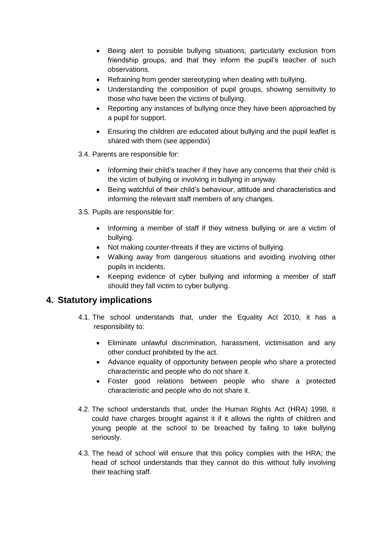- Being alert to possible bullying situations, particularly exclusion from friendship groups, and that they inform the pupil's teacher of such observations.
- Refraining from gender stereotyping when dealing with bullying.
- Understanding the composition of pupil groups, showing sensitivity to those who have been the victims of bullying.
- Reporting any instances of bullying once they have been approached by a pupil for support.
- Ensuring the children are educated about bullying and the pupil leaflet is shared with them (see appendix)
- 3.4. Parents are responsible for:
	- Informing their child's teacher if they have any concerns that their child is the victim of bullying or involving in bullying in anyway.
	- Being watchful of their child's behaviour, attitude and characteristics and informing the relevant staff members of any changes.
- 3.5. Pupils are responsible for:
	- Informing a member of staff if they witness bullying or are a victim of bullying.
	- Not making counter-threats if they are victims of bullying.
	- Walking away from dangerous situations and avoiding involving other pupils in incidents.
	- Keeping evidence of cyber bullying and informing a member of staff should they fall victim to cyber bullying.

#### **4. Statutory implications**

- 4.1. The school understands that, under the Equality Act 2010, it has a responsibility to:
	- Eliminate unlawful discrimination, harassment, victimisation and any other conduct prohibited by the act.
	- Advance equality of opportunity between people who share a protected characteristic and people who do not share it.
	- Foster good relations between people who share a protected characteristic and people who do not share it.
- 4.2. The school understands that, under the Human Rights Act (HRA) 1998, it could have charges brought against it if it allows the rights of children and young people at the school to be breached by failing to take bullying seriously.
- 4.3. The head of school will ensure that this policy complies with the HRA; the head of school understands that they cannot do this without fully involving their teaching staff.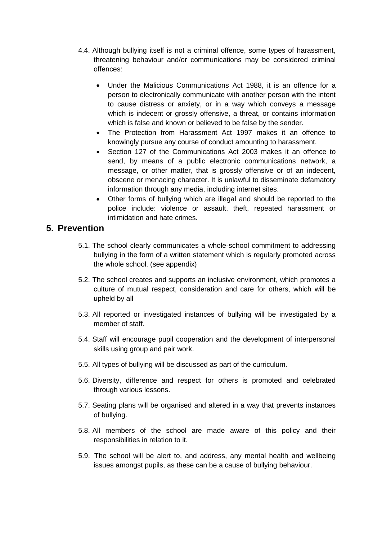- 4.4. Although bullying itself is not a criminal offence, some types of harassment, threatening behaviour and/or communications may be considered criminal offences:
	- Under the Malicious Communications Act 1988, it is an offence for a person to electronically communicate with another person with the intent to cause distress or anxiety, or in a way which conveys a message which is indecent or grossly offensive, a threat, or contains information which is false and known or believed to be false by the sender.
	- The Protection from Harassment Act 1997 makes it an offence to knowingly pursue any course of conduct amounting to harassment.
	- Section 127 of the Communications Act 2003 makes it an offence to send, by means of a public electronic communications network, a message, or other matter, that is grossly offensive or of an indecent, obscene or menacing character. It is unlawful to disseminate defamatory information through any media, including internet sites.
	- Other forms of bullying which are illegal and should be reported to the police include: violence or assault, theft, repeated harassment or intimidation and hate crimes.

# **5. Prevention**

- 5.1. The school clearly communicates a whole-school commitment to addressing bullying in the form of a written statement which is regularly promoted across the whole school. (see appendix)
- 5.2. The school creates and supports an inclusive environment, which promotes a culture of mutual respect, consideration and care for others, which will be upheld by all
- 5.3. All reported or investigated instances of bullying will be investigated by a member of staff.
- 5.4. Staff will encourage pupil cooperation and the development of interpersonal skills using group and pair work.
- 5.5. All types of bullying will be discussed as part of the curriculum.
- 5.6. Diversity, difference and respect for others is promoted and celebrated through various lessons.
- 5.7. Seating plans will be organised and altered in a way that prevents instances of bullying.
- 5.8. All members of the school are made aware of this policy and their responsibilities in relation to it.
- 5.9. The school will be alert to, and address, any mental health and wellbeing issues amongst pupils, as these can be a cause of bullying behaviour.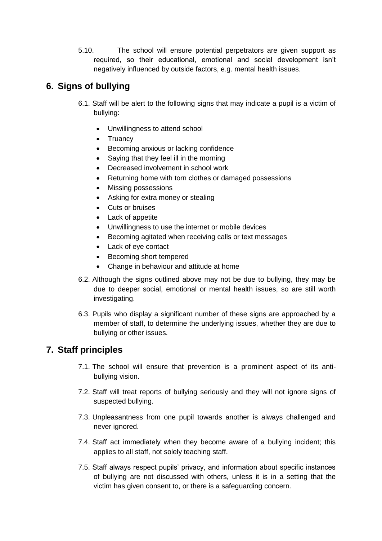5.10. The school will ensure potential perpetrators are given support as required, so their educational, emotional and social development isn't negatively influenced by outside factors, e.g. mental health issues.

# **6. Signs of bullying**

- 6.1. Staff will be alert to the following signs that may indicate a pupil is a victim of bullying:
	- Unwillingness to attend school
	- Truancy
	- Becoming anxious or lacking confidence
	- Saying that they feel ill in the morning
	- Decreased involvement in school work
	- Returning home with torn clothes or damaged possessions
	- Missing possessions
	- Asking for extra money or stealing
	- Cuts or bruises
	- Lack of appetite
	- Unwillingness to use the internet or mobile devices
	- Becoming agitated when receiving calls or text messages
	- Lack of eye contact
	- Becoming short tempered
	- Change in behaviour and attitude at home
- 6.2. Although the signs outlined above may not be due to bullying, they may be due to deeper social, emotional or mental health issues, so are still worth investigating.
- 6.3. Pupils who display a significant number of these signs are approached by a member of staff, to determine the underlying issues, whether they are due to bullying or other issues.

# **7. Staff principles**

- 7.1. The school will ensure that prevention is a prominent aspect of its antibullying vision.
- 7.2. Staff will treat reports of bullying seriously and they will not ignore signs of suspected bullying.
- 7.3. Unpleasantness from one pupil towards another is always challenged and never ignored.
- 7.4. Staff act immediately when they become aware of a bullying incident; this applies to all staff, not solely teaching staff.
- 7.5. Staff always respect pupils' privacy, and information about specific instances of bullying are not discussed with others, unless it is in a setting that the victim has given consent to, or there is a safeguarding concern.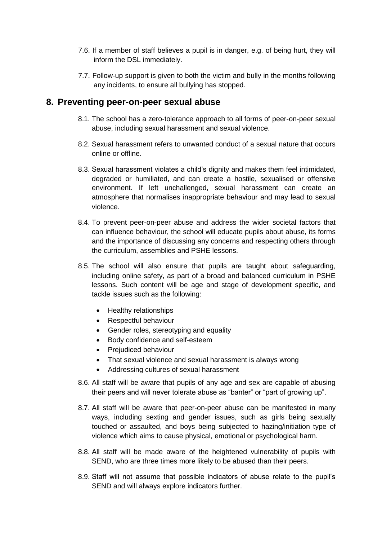- 7.6. If a member of staff believes a pupil is in danger, e.g. of being hurt, they will inform the DSL immediately.
- 7.7. Follow-up support is given to both the victim and bully in the months following any incidents, to ensure all bullying has stopped.

#### **8. Preventing peer-on-peer sexual abuse**

- 8.1. The school has a zero-tolerance approach to all forms of peer-on-peer sexual abuse, including sexual harassment and sexual violence.
- 8.2. Sexual harassment refers to unwanted conduct of a sexual nature that occurs online or offline.
- 8.3. Sexual harassment violates a child's dignity and makes them feel intimidated, degraded or humiliated, and can create a hostile, sexualised or offensive environment. If left unchallenged, sexual harassment can create an atmosphere that normalises inappropriate behaviour and may lead to sexual violence.
- 8.4. To prevent peer-on-peer abuse and address the wider societal factors that can influence behaviour, the school will educate pupils about abuse, its forms and the importance of discussing any concerns and respecting others through the curriculum, assemblies and PSHE lessons.
- 8.5. The school will also ensure that pupils are taught about safeguarding, including online safety, as part of a broad and balanced curriculum in PSHE lessons. Such content will be age and stage of development specific, and tackle issues such as the following:
	- Healthy relationships
	- Respectful behaviour
	- Gender roles, stereotyping and equality
	- Body confidence and self-esteem
	- Preiudiced behaviour
	- That sexual violence and sexual harassment is always wrong
	- Addressing cultures of sexual harassment
- 8.6. All staff will be aware that pupils of any age and sex are capable of abusing their peers and will never tolerate abuse as "banter" or "part of growing up".
- 8.7. All staff will be aware that peer-on-peer abuse can be manifested in many ways, including sexting and gender issues, such as girls being sexually touched or assaulted, and boys being subjected to hazing/initiation type of violence which aims to cause physical, emotional or psychological harm.
- 8.8. All staff will be made aware of the heightened vulnerability of pupils with SEND, who are three times more likely to be abused than their peers.
- 8.9. Staff will not assume that possible indicators of abuse relate to the pupil's SEND and will always explore indicators further.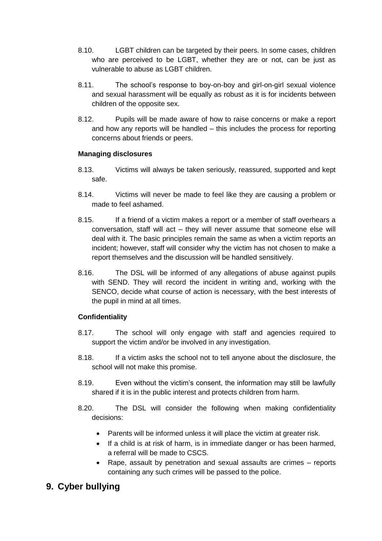- 8.10. LGBT children can be targeted by their peers. In some cases, children who are perceived to be LGBT, whether they are or not, can be just as vulnerable to abuse as LGBT children.
- 8.11. The school's response to boy-on-boy and girl-on-girl sexual violence and sexual harassment will be equally as robust as it is for incidents between children of the opposite sex.
- 8.12. Pupils will be made aware of how to raise concerns or make a report and how any reports will be handled – this includes the process for reporting concerns about friends or peers.

#### **Managing disclosures**

- 8.13. Victims will always be taken seriously, reassured, supported and kept safe.
- 8.14. Victims will never be made to feel like they are causing a problem or made to feel ashamed.
- 8.15. If a friend of a victim makes a report or a member of staff overhears a conversation, staff will act – they will never assume that someone else will deal with it. The basic principles remain the same as when a victim reports an incident; however, staff will consider why the victim has not chosen to make a report themselves and the discussion will be handled sensitively.
- 8.16. The DSL will be informed of any allegations of abuse against pupils with SEND. They will record the incident in writing and, working with the SENCO, decide what course of action is necessary, with the best interests of the pupil in mind at all times.

#### **Confidentiality**

- 8.17. The school will only engage with staff and agencies required to support the victim and/or be involved in any investigation.
- 8.18. If a victim asks the school not to tell anyone about the disclosure, the school will not make this promise.
- 8.19. Even without the victim's consent, the information may still be lawfully shared if it is in the public interest and protects children from harm.
- 8.20. The DSL will consider the following when making confidentiality decisions:
	- Parents will be informed unless it will place the victim at greater risk.
	- If a child is at risk of harm, is in immediate danger or has been harmed, a referral will be made to CSCS.
	- Rape, assault by penetration and sexual assaults are crimes reports containing any such crimes will be passed to the police.

# **9. Cyber bullying**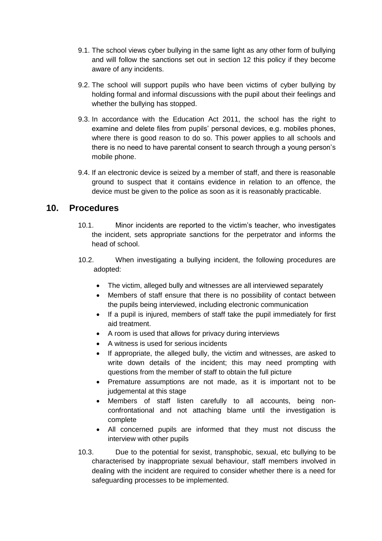- 9.1. The school views cyber bullying in the same light as any other form of bullying and will follow the sanctions set out in [section 12](#page-10-0) this policy if they become aware of any incidents.
- 9.2. The school will support pupils who have been victims of cyber bullying by holding formal and informal discussions with the pupil about their feelings and whether the bullying has stopped.
- 9.3. In accordance with the Education Act 2011, the school has the right to examine and delete files from pupils' personal devices, e.g. mobiles phones, where there is good reason to do so. This power applies to all schools and there is no need to have parental consent to search through a young person's mobile phone.
- 9.4. If an electronic device is seized by a member of staff, and there is reasonable ground to suspect that it contains evidence in relation to an offence, the device must be given to the police as soon as it is reasonably practicable.

#### **10. Procedures**

- 10.1. Minor incidents are reported to the victim's teacher, who investigates the incident, sets appropriate sanctions for the perpetrator and informs the head of school.
- 10.2. When investigating a bullying incident, the following procedures are adopted:
	- The victim, alleged bully and witnesses are all interviewed separately
	- Members of staff ensure that there is no possibility of contact between the pupils being interviewed, including electronic communication
	- If a pupil is injured, members of staff take the pupil immediately for first aid treatment.
	- A room is used that allows for privacy during interviews
	- A witness is used for serious incidents
	- If appropriate, the alleged bully, the victim and witnesses, are asked to write down details of the incident; this may need prompting with questions from the member of staff to obtain the full picture
	- Premature assumptions are not made, as it is important not to be judgemental at this stage
	- Members of staff listen carefully to all accounts, being nonconfrontational and not attaching blame until the investigation is complete
	- All concerned pupils are informed that they must not discuss the interview with other pupils
- 10.3. Due to the potential for sexist, transphobic, sexual, etc bullying to be characterised by inappropriate sexual behaviour, staff members involved in dealing with the incident are required to consider whether there is a need for safeguarding processes to be implemented.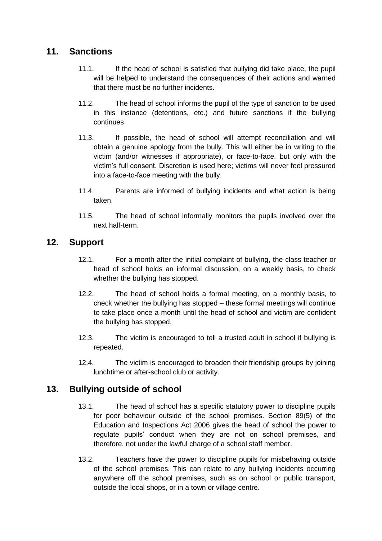# <span id="page-10-0"></span>**11. Sanctions**

- 11.1. If the head of school is satisfied that bullying did take place, the pupil will be helped to understand the consequences of their actions and warned that there must be no further incidents.
- 11.2. The head of school informs the pupil of the type of sanction to be used in this instance (detentions, etc.) and future sanctions if the bullying continues.
- 11.3. If possible, the head of school will attempt reconciliation and will obtain a genuine apology from the bully. This will either be in writing to the victim (and/or witnesses if appropriate), or face-to-face, but only with the victim's full consent. Discretion is used here; victims will never feel pressured into a face-to-face meeting with the bully.
- 11.4. Parents are informed of bullying incidents and what action is being taken.
- 11.5. The head of school informally monitors the pupils involved over the next half-term.

# **12. Support**

- 12.1. For a month after the initial complaint of bullying, the class teacher or head of school holds an informal discussion, on a weekly basis, to check whether the bullying has stopped.
- 12.2. The head of school holds a formal meeting, on a monthly basis, to check whether the bullying has stopped – these formal meetings will continue to take place once a month until the head of school and victim are confident the bullying has stopped.
- 12.3. The victim is encouraged to tell a trusted adult in school if bullying is repeated.
- 12.4. The victim is encouraged to broaden their friendship groups by joining lunchtime or after-school club or activity.

# **13. Bullying outside of school**

- 13.1. The head of school has a specific statutory power to discipline pupils for poor behaviour outside of the school premises. Section 89(5) of the Education and Inspections Act 2006 gives the head of school the power to regulate pupils' conduct when they are not on school premises, and therefore, not under the lawful charge of a school staff member.
- 13.2. Teachers have the power to discipline pupils for misbehaving outside of the school premises. This can relate to any bullying incidents occurring anywhere off the school premises, such as on school or public transport, outside the local shops, or in a town or village centre.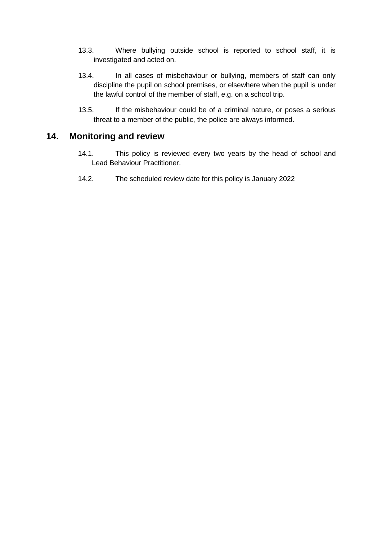- 13.3. Where bullying outside school is reported to school staff, it is investigated and acted on.
- 13.4. In all cases of misbehaviour or bullying, members of staff can only discipline the pupil on school premises, or elsewhere when the pupil is under the lawful control of the member of staff, e.g. on a school trip.
- 13.5. If the misbehaviour could be of a criminal nature, or poses a serious threat to a member of the public, the police are always informed.

#### **14. Monitoring and review**

- 14.1. This policy is reviewed every two years by the head of school and Lead Behaviour Practitioner.
- 14.2. The scheduled review date for this policy is January 2022